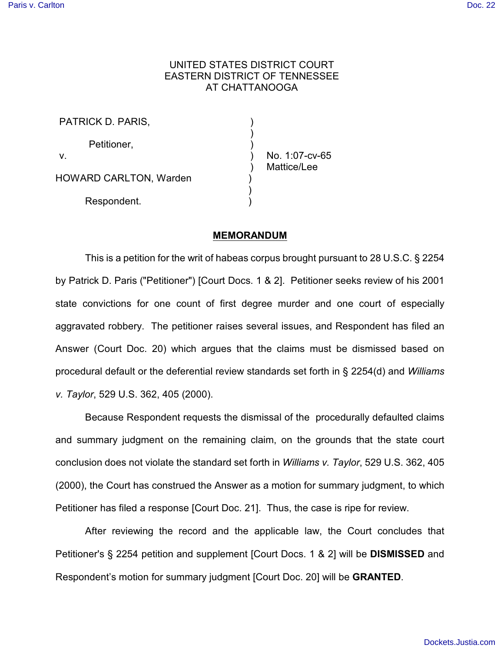# UNITED STATES DISTRICT COURT EASTERN DISTRICT OF TENNESSEE AT CHATTANOOGA

| PATRICK D. PARIS,             |                |  |
|-------------------------------|----------------|--|
| Petitioner,<br>v.             | No. 1:07-cv-65 |  |
| <b>HOWARD CARLTON, Warden</b> | Mattice/Lee    |  |
| Respondent.                   |                |  |

## **MEMORANDUM**

This is a petition for the writ of habeas corpus brought pursuant to 28 U.S.C. § 2254 by Patrick D. Paris ("Petitioner") [Court Docs. 1 & 2]. Petitioner seeks review of his 2001 state convictions for one count of first degree murder and one court of especially aggravated robbery. The petitioner raises several issues, and Respondent has filed an Answer (Court Doc. 20) which argues that the claims must be dismissed based on procedural default or the deferential review standards set forth in § 2254(d) and *Williams v. Taylor*, 529 U.S. 362, 405 (2000).

Because Respondent requests the dismissal of the procedurally defaulted claims and summary judgment on the remaining claim, on the grounds that the state court conclusion does not violate the standard set forth in *Williams v. Taylor*, 529 U.S. 362, 405 (2000), the Court has construed the Answer as a motion for summary judgment, to which Petitioner has filed a response [Court Doc. 21]. Thus, the case is ripe for review.

After reviewing the record and the applicable law, the Court concludes that Petitioner's § 2254 petition and supplement [Court Docs. 1 & 2] will be **DISMISSED** and Respondent's motion for summary judgment [Court Doc. 20] will be **GRANTED**.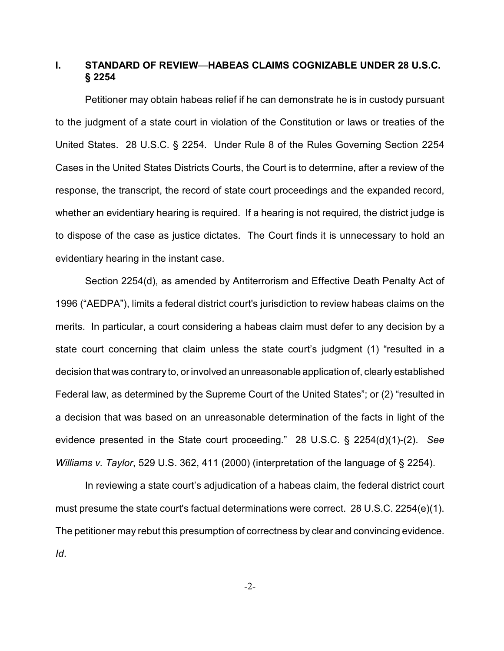# **I. STANDARD OF REVIEW**—**HABEAS CLAIMS COGNIZABLE UNDER 28 U.S.C. § 2254**

Petitioner may obtain habeas relief if he can demonstrate he is in custody pursuant to the judgment of a state court in violation of the Constitution or laws or treaties of the United States. 28 U.S.C. § 2254. Under Rule 8 of the Rules Governing Section 2254 Cases in the United States Districts Courts, the Court is to determine, after a review of the response, the transcript, the record of state court proceedings and the expanded record, whether an evidentiary hearing is required. If a hearing is not required, the district judge is to dispose of the case as justice dictates. The Court finds it is unnecessary to hold an evidentiary hearing in the instant case.

Section 2254(d), as amended by Antiterrorism and Effective Death Penalty Act of 1996 ("AEDPA"), limits a federal district court's jurisdiction to review habeas claims on the merits. In particular, a court considering a habeas claim must defer to any decision by a state court concerning that claim unless the state court's judgment (1) "resulted in a decision that was contrary to, or involved an unreasonable application of, clearly established Federal law, as determined by the Supreme Court of the United States"; or (2) "resulted in a decision that was based on an unreasonable determination of the facts in light of the evidence presented in the State court proceeding." 28 U.S.C. § 2254(d)(1)-(2). *See Williams v. Taylor*, 529 U.S. 362, 411 (2000) (interpretation of the language of § 2254).

In reviewing a state court's adjudication of a habeas claim, the federal district court must presume the state court's factual determinations were correct. 28 U.S.C. 2254(e)(1). The petitioner may rebut this presumption of correctness by clear and convincing evidence. *Id*.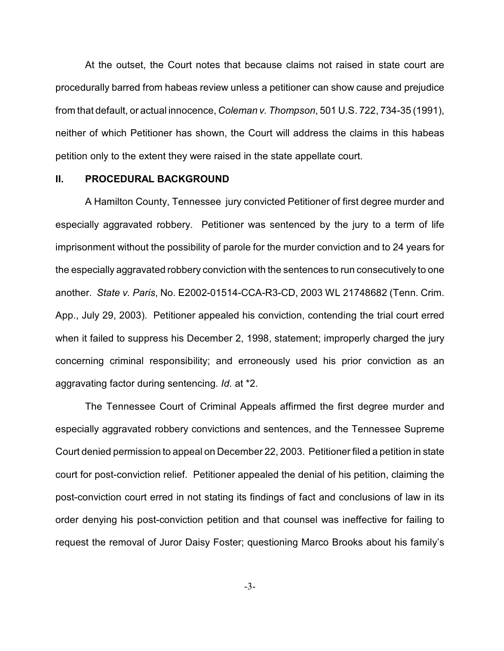At the outset, the Court notes that because claims not raised in state court are procedurally barred from habeas review unless a petitioner can show cause and prejudice from that default, or actual innocence, *Coleman v. Thompson*, 501 U.S. 722, 734-35 (1991), neither of which Petitioner has shown, the Court will address the claims in this habeas petition only to the extent they were raised in the state appellate court.

## **II. PROCEDURAL BACKGROUND**

A Hamilton County, Tennessee jury convicted Petitioner of first degree murder and especially aggravated robbery. Petitioner was sentenced by the jury to a term of life imprisonment without the possibility of parole for the murder conviction and to 24 years for the especially aggravated robbery conviction with the sentences to run consecutively to one another. *State v. Paris*, No. E2002-01514-CCA-R3-CD, 2003 WL 21748682 (Tenn. Crim. App., July 29, 2003). Petitioner appealed his conviction, contending the trial court erred when it failed to suppress his December 2, 1998, statement; improperly charged the jury concerning criminal responsibility; and erroneously used his prior conviction as an aggravating factor during sentencing. *Id*. at \*2.

The Tennessee Court of Criminal Appeals affirmed the first degree murder and especially aggravated robbery convictions and sentences, and the Tennessee Supreme Court denied permission to appeal on December 22, 2003. Petitioner filed a petition in state court for post-conviction relief. Petitioner appealed the denial of his petition, claiming the post-conviction court erred in not stating its findings of fact and conclusions of law in its order denying his post-conviction petition and that counsel was ineffective for failing to request the removal of Juror Daisy Foster; questioning Marco Brooks about his family's

-3-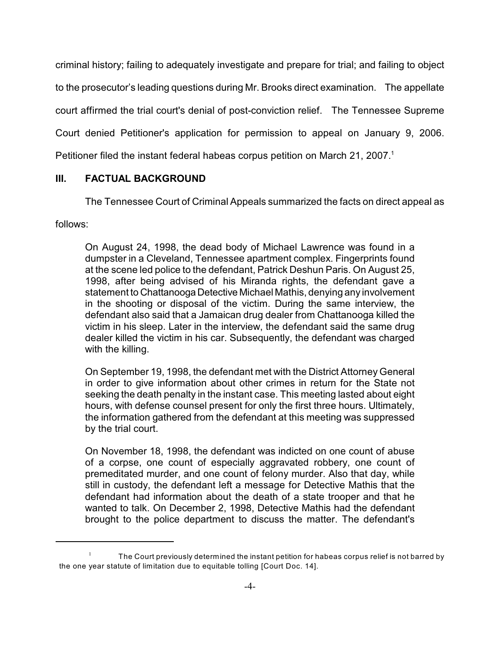criminal history; failing to adequately investigate and prepare for trial; and failing to object to the prosecutor's leading questions during Mr. Brooks direct examination. The appellate court affirmed the trial court's denial of post-conviction relief. The Tennessee Supreme Court denied Petitioner's application for permission to appeal on January 9, 2006. Petitioner filed the instant federal habeas corpus petition on March 21, 2007.<sup>1</sup>

# **III. FACTUAL BACKGROUND**

The Tennessee Court of Criminal Appeals summarized the facts on direct appeal as

follows:

On August 24, 1998, the dead body of Michael Lawrence was found in a dumpster in a Cleveland, Tennessee apartment complex. Fingerprints found at the scene led police to the defendant, Patrick Deshun Paris. On August 25, 1998, after being advised of his Miranda rights, the defendant gave a statement to Chattanooga Detective Michael Mathis, denying any involvement in the shooting or disposal of the victim. During the same interview, the defendant also said that a Jamaican drug dealer from Chattanooga killed the victim in his sleep. Later in the interview, the defendant said the same drug dealer killed the victim in his car. Subsequently, the defendant was charged with the killing.

On September 19, 1998, the defendant met with the District Attorney General in order to give information about other crimes in return for the State not seeking the death penalty in the instant case. This meeting lasted about eight hours, with defense counsel present for only the first three hours. Ultimately, the information gathered from the defendant at this meeting was suppressed by the trial court.

On November 18, 1998, the defendant was indicted on one count of abuse of a corpse, one count of especially aggravated robbery, one count of premeditated murder, and one count of felony murder. Also that day, while still in custody, the defendant left a message for Detective Mathis that the defendant had information about the death of a state trooper and that he wanted to talk. On December 2, 1998, Detective Mathis had the defendant brought to the police department to discuss the matter. The defendant's

The Court previously determined the instant petition for habeas corpus relief is not barred by 1 the one year statute of limitation due to equitable tolling [Court Doc. 14].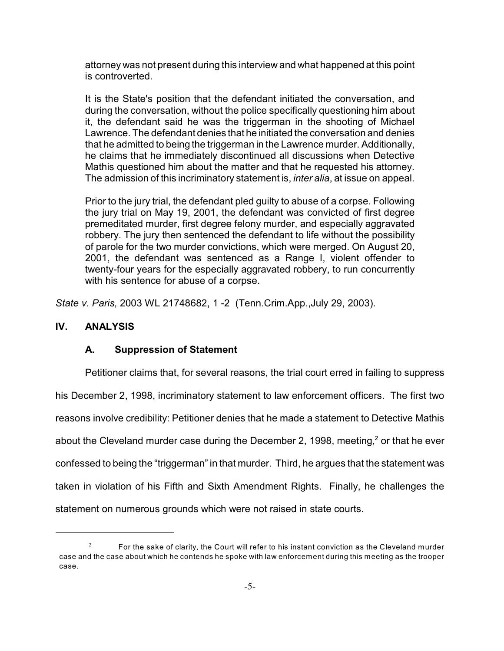attorney was not present during this interview and what happened at this point is controverted.

It is the State's position that the defendant initiated the conversation, and during the conversation, without the police specifically questioning him about it, the defendant said he was the triggerman in the shooting of Michael Lawrence. The defendant denies that he initiated the conversation and denies that he admitted to being the triggerman in the Lawrence murder. Additionally, he claims that he immediately discontinued all discussions when Detective Mathis questioned him about the matter and that he requested his attorney. The admission of this incriminatory statement is, *inter alia*, at issue on appeal.

Prior to the jury trial, the defendant pled guilty to abuse of a corpse. Following the jury trial on May 19, 2001, the defendant was convicted of first degree premeditated murder, first degree felony murder, and especially aggravated robbery. The jury then sentenced the defendant to life without the possibility of parole for the two murder convictions, which were merged. On August 20, 2001, the defendant was sentenced as a Range I, violent offender to twenty-four years for the especially aggravated robbery, to run concurrently with his sentence for abuse of a corpse.

*State v. Paris,* 2003 WL 21748682, 1 -2 (Tenn.Crim.App.,July 29, 2003).

# **IV. ANALYSIS**

# **A. Suppression of Statement**

Petitioner claims that, for several reasons, the trial court erred in failing to suppress his December 2, 1998, incriminatory statement to law enforcement officers. The first two reasons involve credibility: Petitioner denies that he made a statement to Detective Mathis about the Cleveland murder case during the December 2, 1998, meeting, $2$  or that he ever confessed to being the "triggerman" in that murder. Third, he argues that the statement was taken in violation of his Fifth and Sixth Amendment Rights. Finally, he challenges the statement on numerous grounds which were not raised in state courts.

For the sake of clarity, the Court will refer to his instant conviction as the Cleveland murder <sup>2</sup> case and the case about which he contends he spoke with law enforcement during this meeting as the trooper case.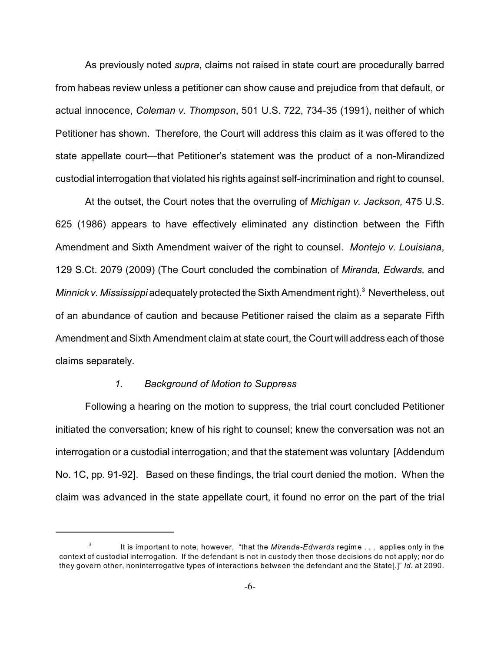As previously noted *supra*, claims not raised in state court are procedurally barred from habeas review unless a petitioner can show cause and prejudice from that default, or actual innocence, *Coleman v. Thompson*, 501 U.S. 722, 734-35 (1991), neither of which Petitioner has shown. Therefore, the Court will address this claim as it was offered to the state appellate court—that Petitioner's statement was the product of a non-Mirandized custodial interrogation that violated his rights against self-incrimination and right to counsel.

At the outset, the Court notes that the overruling of *Michigan v. Jackson,* 475 U.S. 625 (1986) appears to have effectively eliminated any distinction between the Fifth Amendment and Sixth Amendment waiver of the right to counsel. *Montejo v. Louisiana*, 129 S.Ct. 2079 (2009) (The Court concluded the combination of *Miranda, Edwards,* and *Minnick v. Mississippi* adequately protected the Sixth Amendment right).<sup>3</sup> Nevertheless, out of an abundance of caution and because Petitioner raised the claim as a separate Fifth Amendment and Sixth Amendment claim at state court, the Court will address each of those claims separately.

### *1. Background of Motion to Suppress*

Following a hearing on the motion to suppress, the trial court concluded Petitioner initiated the conversation; knew of his right to counsel; knew the conversation was not an interrogation or a custodial interrogation; and that the statement was voluntary [Addendum No. 1C, pp. 91-92]. Based on these findings, the trial court denied the motion. When the claim was advanced in the state appellate court, it found no error on the part of the trial

<sup>&</sup>lt;sup>3</sup> It is important to note, however, "that the *Miranda-Edwards* regime . . . applies only in the context of custodial interrogation. If the defendant is not in custody then those decisions do not apply; nor do they govern other, noninterrogative types of interactions between the defendant and the State[.]" *Id.* at 2090.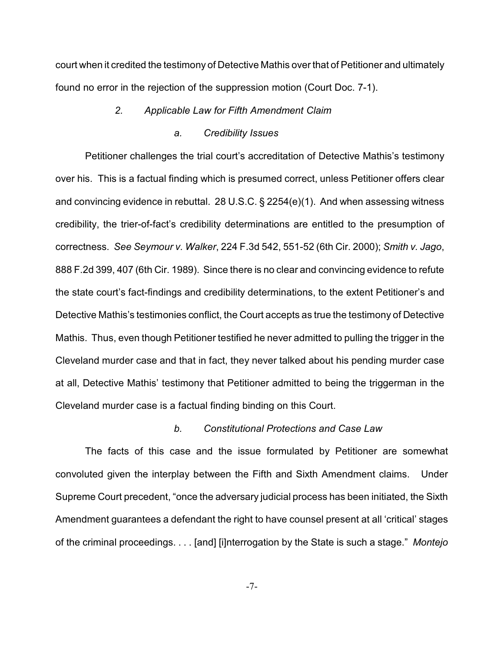court when it credited the testimony of Detective Mathis over that of Petitioner and ultimately found no error in the rejection of the suppression motion (Court Doc. 7-1).

## *2. Applicable Law for Fifth Amendment Claim*

### *a. Credibility Issues*

Petitioner challenges the trial court's accreditation of Detective Mathis's testimony over his. This is a factual finding which is presumed correct, unless Petitioner offers clear and convincing evidence in rebuttal. 28 U.S.C. § 2254(e)(1). And when assessing witness credibility, the trier-of-fact's credibility determinations are entitled to the presumption of correctness. *See Seymour v. Walker*, 224 F.3d 542, 551-52 (6th Cir. 2000); *Smith v. Jago*, 888 F.2d 399, 407 (6th Cir. 1989). Since there is no clear and convincing evidence to refute the state court's fact-findings and credibility determinations, to the extent Petitioner's and Detective Mathis's testimonies conflict, the Court accepts as true the testimony of Detective Mathis. Thus, even though Petitioner testified he never admitted to pulling the trigger in the Cleveland murder case and that in fact, they never talked about his pending murder case at all, Detective Mathis' testimony that Petitioner admitted to being the triggerman in the Cleveland murder case is a factual finding binding on this Court.

#### *b. Constitutional Protections and Case Law*

The facts of this case and the issue formulated by Petitioner are somewhat convoluted given the interplay between the Fifth and Sixth Amendment claims. Under Supreme Court precedent, "once the adversary judicial process has been initiated, the Sixth Amendment guarantees a defendant the right to have counsel present at all 'critical' stages of the criminal proceedings. . . . [and] [i]nterrogation by the State is such a stage." *Montejo*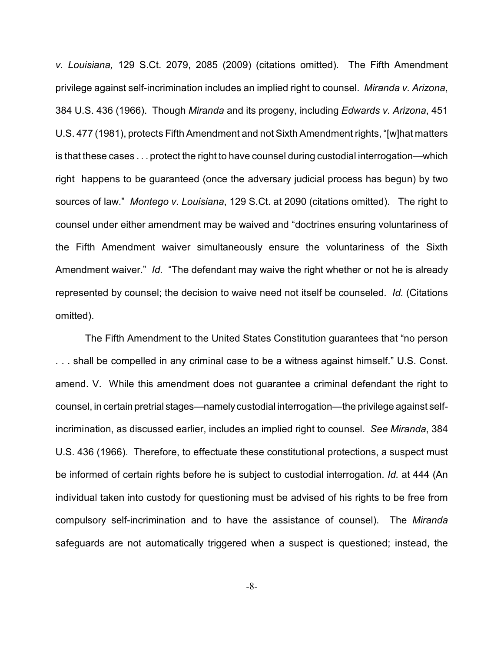*v. Louisiana,* 129 S.Ct. 2079, 2085 (2009) (citations omitted). The Fifth Amendment privilege against self-incrimination includes an implied right to counsel. *Miranda v. Arizona*, 384 U.S. 436 (1966). Though *Miranda* and its progeny, including *Edwards v. Arizona*, 451 U.S. 477 (1981), protects Fifth Amendment and not Sixth Amendment rights, "[w]hat matters is that these cases . . . protect the right to have counsel during custodial interrogation—which right happens to be guaranteed (once the adversary judicial process has begun) by two sources of law." *Montego v. Louisiana*, 129 S.Ct. at 2090 (citations omitted). The right to counsel under either amendment may be waived and "doctrines ensuring voluntariness of the Fifth Amendment waiver simultaneously ensure the voluntariness of the Sixth Amendment waiver." *Id.* "The defendant may waive the right whether or not he is already represented by counsel; the decision to waive need not itself be counseled. *Id.* (Citations omitted).

The Fifth Amendment to the United States Constitution guarantees that "no person . . . shall be compelled in any criminal case to be a witness against himself." U.S. Const. amend. V. While this amendment does not guarantee a criminal defendant the right to counsel, in certain pretrial stages—namely custodial interrogation—the privilege against selfincrimination, as discussed earlier, includes an implied right to counsel. *See Miranda*, 384 U.S. 436 (1966). Therefore, to effectuate these constitutional protections, a suspect must be informed of certain rights before he is subject to custodial interrogation. *Id.* at 444 (An individual taken into custody for questioning must be advised of his rights to be free from compulsory self-incrimination and to have the assistance of counsel). The *Miranda* safeguards are not automatically triggered when a suspect is questioned; instead, the

-8-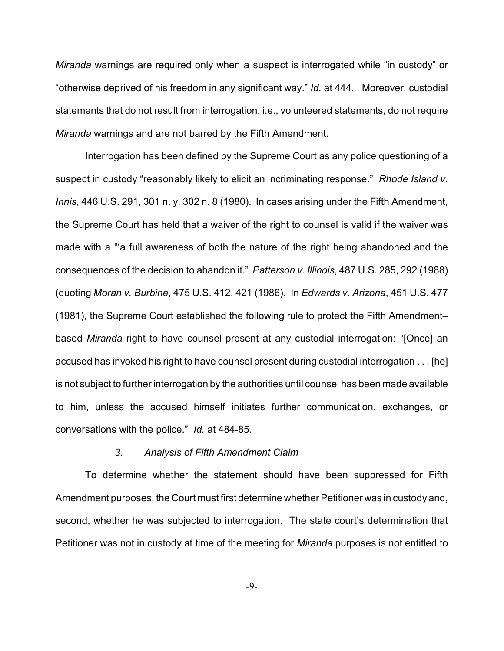*Miranda* warnings are required only when a suspect is interrogated while "in custody" or "otherwise deprived of his freedom in any significant way." *Id.* at 444. Moreover, custodial statements that do not result from interrogation, i.e., volunteered statements, do not require *Miranda* warnings and are not barred by the Fifth Amendment.

Interrogation has been defined by the Supreme Court as any police questioning of a suspect in custody "reasonably likely to elicit an incriminating response." *Rhode Island v. Innis*, 446 U.S. 291, 301 n. y, 302 n. 8 (1980). In cases arising under the Fifth Amendment, the Supreme Court has held that a waiver of the right to counsel is valid if the waiver was made with a "'a full awareness of both the nature of the right being abandoned and the consequences of the decision to abandon it." *Patterson v. Illinois*, 487 U.S. 285, 292 (1988) (quoting *Moran v. Burbine*, 475 U.S. 412, 421 (1986). In *Edwards v. Arizona*, 451 U.S. 477 (1981), the Supreme Court established the following rule to protect the Fifth Amendment– based *Miranda* right to have counsel present at any custodial interrogation: "[Once] an accused has invoked his right to have counsel present during custodial interrogation . . . [he] is not subject to further interrogation by the authorities until counsel has been made available to him, unless the accused himself initiates further communication, exchanges, or conversations with the police." *Id.* at 484-85.

## *3. Analysis of Fifth Amendment Claim*

To determine whether the statement should have been suppressed for Fifth Amendment purposes, the Court must first determine whether Petitioner was in custody and, second, whether he was subjected to interrogation. The state court's determination that Petitioner was not in custody at time of the meeting for *Miranda* purposes is not entitled to

-9-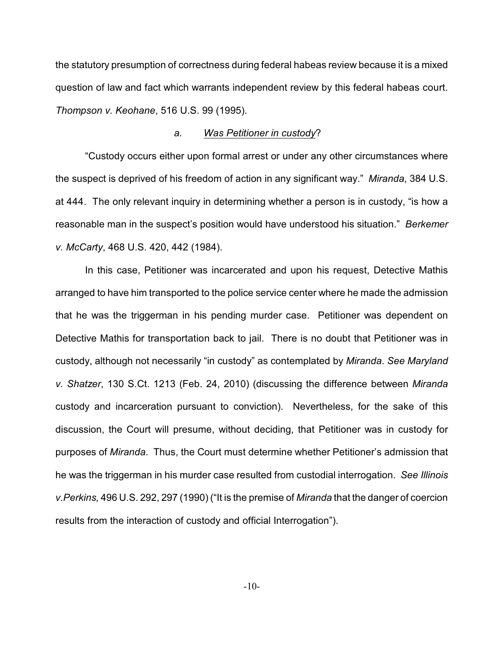the statutory presumption of correctness during federal habeas review because it is a mixed question of law and fact which warrants independent review by this federal habeas court. *Thompson v. Keohane*, 516 U.S. 99 (1995).

#### *a. Was Petitioner in custody*?

"Custody occurs either upon formal arrest or under any other circumstances where the suspect is deprived of his freedom of action in any significant way." *Miranda*, 384 U.S. at 444. The only relevant inquiry in determining whether a person is in custody, "is how a reasonable man in the suspect's position would have understood his situation." *Berkemer v. McCarty*, 468 U.S. 420, 442 (1984).

In this case, Petitioner was incarcerated and upon his request, Detective Mathis arranged to have him transported to the police service center where he made the admission that he was the triggerman in his pending murder case. Petitioner was dependent on Detective Mathis for transportation back to jail. There is no doubt that Petitioner was in custody, although not necessarily "in custody" as contemplated by *Miranda*. *See Maryland v. Shatzer*, 130 S.Ct. 1213 (Feb. 24, 2010) (discussing the difference between *Miranda* custody and incarceration pursuant to conviction). Nevertheless, for the sake of this discussion, the Court will presume, without deciding, that Petitioner was in custody for purposes of *Miranda*. Thus, the Court must determine whether Petitioner's admission that he was the triggerman in his murder case resulted from custodial interrogation. *See Illinois v.Perkins,* 496 U.S. 292, 297 (1990) ("It is the premise of *Miranda* that the danger of coercion results from the interaction of custody and official Interrogation").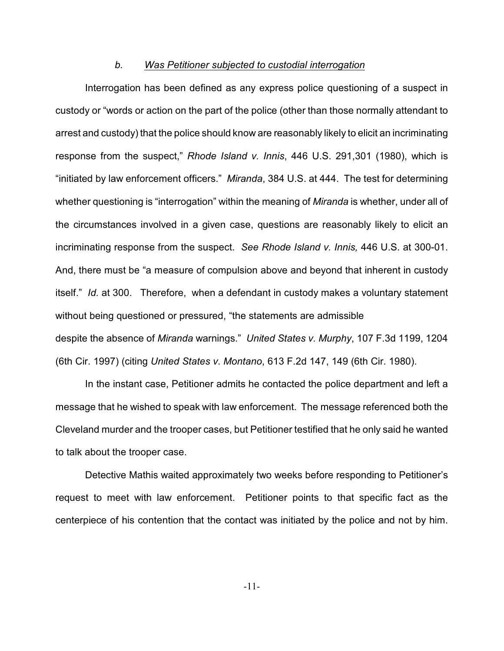#### *b. Was Petitioner subjected to custodial interrogation*

Interrogation has been defined as any express police questioning of a suspect in custody or "words or action on the part of the police (other than those normally attendant to arrest and custody) that the police should know are reasonably likely to elicit an incriminating response from the suspect," *Rhode Island v. Innis*, 446 U.S. 291,301 (1980), which is "initiated by law enforcement officers." *Miranda*, 384 U.S. at 444. The test for determining whether questioning is "interrogation" within the meaning of *Miranda* is whether, under all of the circumstances involved in a given case, questions are reasonably likely to elicit an incriminating response from the suspect. *See Rhode Island v. Innis,* 446 U.S. at 300-01. And, there must be "a measure of compulsion above and beyond that inherent in custody itself." *Id.* at 300. Therefore, when a defendant in custody makes a voluntary statement without being questioned or pressured, "the statements are admissible despite the absence of *Miranda* warnings." *United States v. Murphy*, 107 F.3d 1199, 1204 (6th Cir. 1997) (citing *United States v. Montano*, 613 F.2d 147, 149 (6th Cir. 1980).

In the instant case, Petitioner admits he contacted the police department and left a message that he wished to speak with law enforcement. The message referenced both the Cleveland murder and the trooper cases, but Petitioner testified that he only said he wanted to talk about the trooper case.

Detective Mathis waited approximately two weeks before responding to Petitioner's request to meet with law enforcement. Petitioner points to that specific fact as the centerpiece of his contention that the contact was initiated by the police and not by him.

-11-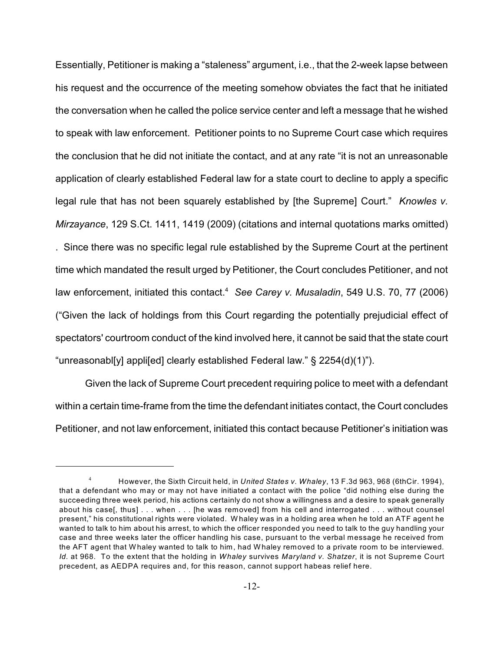Essentially, Petitioner is making a "staleness" argument, i.e., that the 2-week lapse between his request and the occurrence of the meeting somehow obviates the fact that he initiated the conversation when he called the police service center and left a message that he wished to speak with law enforcement. Petitioner points to no Supreme Court case which requires the conclusion that he did not initiate the contact, and at any rate "it is not an unreasonable application of clearly established Federal law for a state court to decline to apply a specific legal rule that has not been squarely established by [the Supreme] Court." *Knowles v. Mirzayance*, 129 S.Ct. 1411, 1419 (2009) (citations and internal quotations marks omitted) . Since there was no specific legal rule established by the Supreme Court at the pertinent time which mandated the result urged by Petitioner, the Court concludes Petitioner, and not law enforcement, initiated this contact.<sup>4</sup> See Carey v. Musaladin, 549 U.S. 70, 77 (2006) ("Given the lack of holdings from this Court regarding the potentially prejudicial effect of spectators' courtroom conduct of the kind involved here, it cannot be said that the state court "unreasonabl[y] appli[ed] clearly established Federal law." § 2254(d)(1)").

Given the lack of Supreme Court precedent requiring police to meet with a defendant within a certain time-frame from the time the defendant initiates contact, the Court concludes Petitioner, and not law enforcement, initiated this contact because Petitioner's initiation was

However, the Sixth Circuit held, in *United States v. Whaley*, 13 F.3d 963, 968 (6thCir. 1994), <sup>4</sup> that a defendant who may or may not have initiated a contact with the police "did nothing else during the succeeding three week period, his actions certainly do not show a willingness and a desire to speak generally about his case[, thus] . . . when . . . [he was removed] from his cell and interrogated . . . without counsel present," his constitutional rights were violated. W haley was in a holding area when he told an ATF agent he wanted to talk to him about his arrest, to which the officer responded you need to talk to the guy handling your case and three weeks later the officer handling his case, pursuant to the verbal message he received from the AFT agent that W haley wanted to talk to him, had W haley removed to a private room to be interviewed*. Id.* at 968. To the extent that the holding in *Whaley* survives *Maryland v. Shatzer*, it is not Supreme Court precedent, as AEDPA requires and, for this reason, cannot support habeas relief here.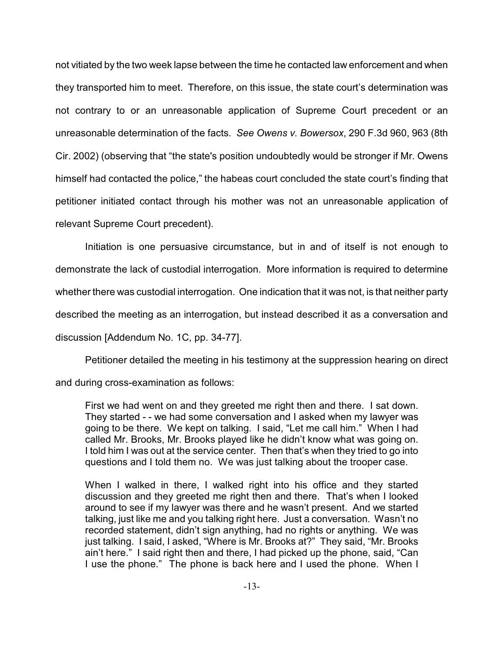not vitiated by the two week lapse between the time he contacted law enforcement and when they transported him to meet. Therefore, on this issue, the state court's determination was not contrary to or an unreasonable application of Supreme Court precedent or an unreasonable determination of the facts. *See Owens v. Bowersox*, 290 F.3d 960, 963 (8th Cir. 2002) (observing that "the state's position undoubtedly would be stronger if Mr. Owens himself had contacted the police," the habeas court concluded the state court's finding that petitioner initiated contact through his mother was not an unreasonable application of relevant Supreme Court precedent).

Initiation is one persuasive circumstance, but in and of itself is not enough to demonstrate the lack of custodial interrogation. More information is required to determine whether there was custodial interrogation. One indication that it was not, is that neither party described the meeting as an interrogation, but instead described it as a conversation and discussion [Addendum No. 1C, pp. 34-77].

Petitioner detailed the meeting in his testimony at the suppression hearing on direct and during cross-examination as follows:

First we had went on and they greeted me right then and there. I sat down. They started - - we had some conversation and I asked when my lawyer was going to be there. We kept on talking. I said, "Let me call him." When I had called Mr. Brooks, Mr. Brooks played like he didn't know what was going on. I told him I was out at the service center. Then that's when they tried to go into questions and I told them no. We was just talking about the trooper case.

When I walked in there, I walked right into his office and they started discussion and they greeted me right then and there. That's when I looked around to see if my lawyer was there and he wasn't present. And we started talking, just like me and you talking right here. Just a conversation. Wasn't no recorded statement, didn't sign anything, had no rights or anything. We was just talking. I said, I asked, "Where is Mr. Brooks at?" They said, "Mr. Brooks ain't here." I said right then and there, I had picked up the phone, said, "Can I use the phone." The phone is back here and I used the phone. When I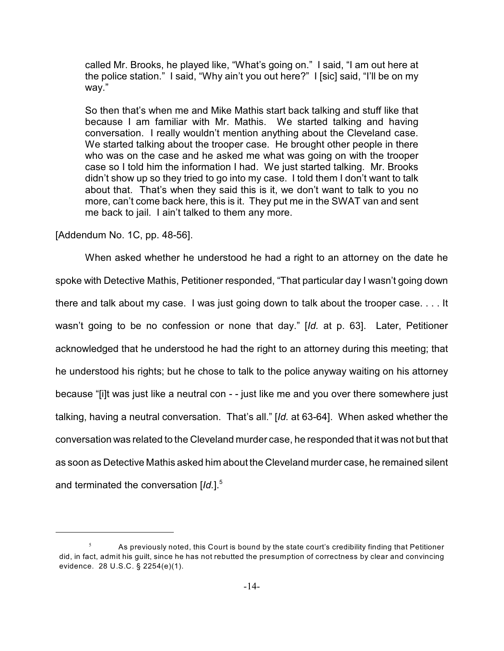called Mr. Brooks, he played like, "What's going on." I said, "I am out here at the police station." I said, "Why ain't you out here?" I [sic] said, "I'll be on my way."

So then that's when me and Mike Mathis start back talking and stuff like that because I am familiar with Mr. Mathis. We started talking and having conversation. I really wouldn't mention anything about the Cleveland case. We started talking about the trooper case. He brought other people in there who was on the case and he asked me what was going on with the trooper case so I told him the information I had. We just started talking. Mr. Brooks didn't show up so they tried to go into my case. I told them I don't want to talk about that. That's when they said this is it, we don't want to talk to you no more, can't come back here, this is it. They put me in the SWAT van and sent me back to jail. I ain't talked to them any more.

[Addendum No. 1C, pp. 48-56].

When asked whether he understood he had a right to an attorney on the date he spoke with Detective Mathis, Petitioner responded, "That particular day I wasn't going down there and talk about my case. I was just going down to talk about the trooper case. . . . It wasn't going to be no confession or none that day." [*Id.* at p. 63]. Later, Petitioner acknowledged that he understood he had the right to an attorney during this meeting; that he understood his rights; but he chose to talk to the police anyway waiting on his attorney because "[i]t was just like a neutral con - - just like me and you over there somewhere just talking, having a neutral conversation. That's all." [*Id.* at 63-64]. When asked whether the conversation was related to the Cleveland murder case, he responded that it was not but that as soon as Detective Mathis asked him about the Cleveland murder case, he remained silent and terminated the conversation [Id.].<sup>5</sup>

 $\frac{5}{10}$  As previously noted, this Court is bound by the state court's credibility finding that Petitioner did, in fact, admit his guilt, since he has not rebutted the presumption of correctness by clear and convincing evidence. 28 U.S.C. § 2254(e)(1).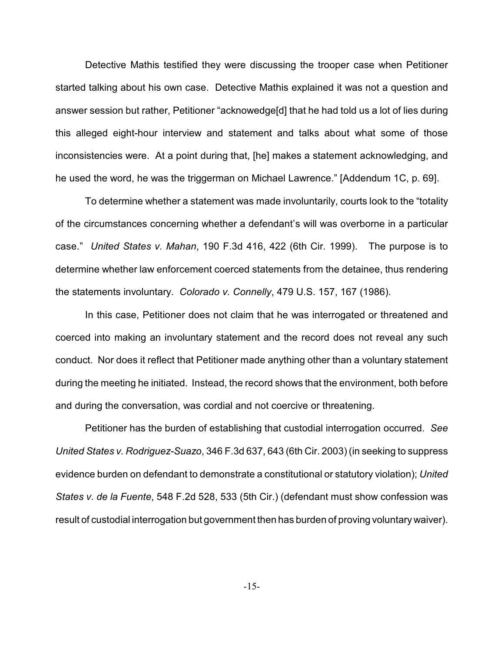Detective Mathis testified they were discussing the trooper case when Petitioner started talking about his own case. Detective Mathis explained it was not a question and answer session but rather, Petitioner "acknowedge[d] that he had told us a lot of lies during this alleged eight-hour interview and statement and talks about what some of those inconsistencies were. At a point during that, [he] makes a statement acknowledging, and he used the word, he was the triggerman on Michael Lawrence." [Addendum 1C, p. 69].

To determine whether a statement was made involuntarily, courts look to the "totality of the circumstances concerning whether a defendant's will was overborne in a particular case." *United States v. Mahan*, 190 F.3d 416, 422 (6th Cir. 1999). The purpose is to determine whether law enforcement coerced statements from the detainee, thus rendering the statements involuntary. *Colorado v. Connelly*, 479 U.S. 157, 167 (1986).

In this case, Petitioner does not claim that he was interrogated or threatened and coerced into making an involuntary statement and the record does not reveal any such conduct. Nor does it reflect that Petitioner made anything other than a voluntary statement during the meeting he initiated. Instead, the record shows that the environment, both before and during the conversation, was cordial and not coercive or threatening.

Petitioner has the burden of establishing that custodial interrogation occurred. *See United States v. Rodriguez-Suazo*, 346 F.3d 637, 643 (6th Cir. 2003) (in seeking to suppress evidence burden on defendant to demonstrate a constitutional or statutory violation); *United States v. de la Fuente*, 548 F.2d 528, 533 (5th Cir.) (defendant must show confession was result of custodial interrogation but government then has burden of proving voluntary waiver).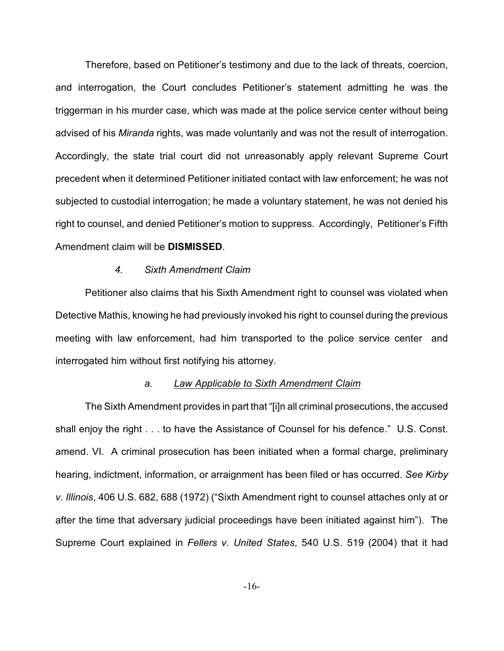Therefore, based on Petitioner's testimony and due to the lack of threats, coercion, and interrogation, the Court concludes Petitioner's statement admitting he was the triggerman in his murder case, which was made at the police service center without being advised of his *Miranda* rights, was made voluntarily and was not the result of interrogation. Accordingly, the state trial court did not unreasonably apply relevant Supreme Court precedent when it determined Petitioner initiated contact with law enforcement; he was not subjected to custodial interrogation; he made a voluntary statement, he was not denied his right to counsel, and denied Petitioner's motion to suppress. Accordingly, Petitioner's Fifth Amendment claim will be **DISMISSED**.

#### *4. Sixth Amendment Claim*

Petitioner also claims that his Sixth Amendment right to counsel was violated when Detective Mathis, knowing he had previously invoked his right to counsel during the previous meeting with law enforcement, had him transported to the police service center and interrogated him without first notifying his attorney.

#### *a. Law Applicable to Sixth Amendment Claim*

The Sixth Amendment provides in part that "[i]n all criminal prosecutions, the accused shall enjoy the right . . . to have the Assistance of Counsel for his defence." U.S. Const. amend. VI. A criminal prosecution has been initiated when a formal charge, preliminary hearing, indictment, information, or arraignment has been filed or has occurred. *See Kirby v. Illinois*, 406 U.S. 682, 688 (1972) ("Sixth Amendment right to counsel attaches only at or after the time that adversary judicial proceedings have been initiated against him"). The Supreme Court explained in *Fellers v. United States*, 540 U.S. 519 (2004) that it had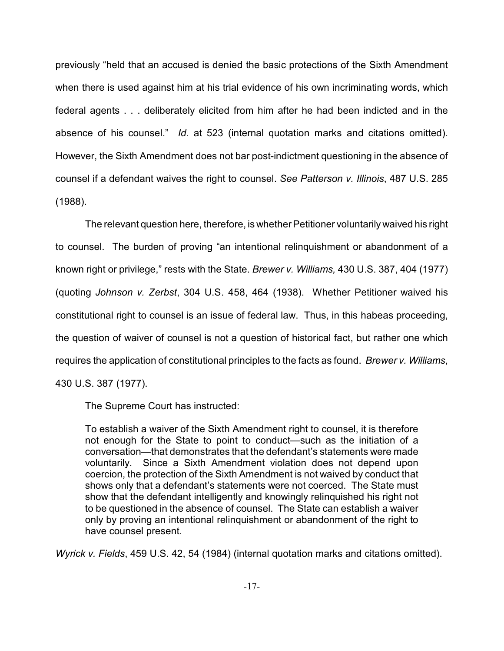previously "held that an accused is denied the basic protections of the Sixth Amendment when there is used against him at his trial evidence of his own incriminating words, which federal agents . . . deliberately elicited from him after he had been indicted and in the absence of his counsel." *Id.* at 523 (internal quotation marks and citations omitted). However, the Sixth Amendment does not bar post-indictment questioning in the absence of counsel if a defendant waives the right to counsel. *See Patterson v. Illinois*, 487 U.S. 285 (1988).

The relevant question here, therefore, is whether Petitioner voluntarily waived his right to counsel. The burden of proving "an intentional relinquishment or abandonment of a known right or privilege," rests with the State. *Brewer v. Williams,* 430 U.S. 387, 404 (1977) (quoting *Johnson v. Zerbst*, 304 U.S. 458, 464 (1938). Whether Petitioner waived his constitutional right to counsel is an issue of federal law. Thus, in this habeas proceeding, the question of waiver of counsel is not a question of historical fact, but rather one which requires the application of constitutional principles to the facts as found. *Brewer v. Williams*, 430 U.S. 387 (1977).

The Supreme Court has instructed:

To establish a waiver of the Sixth Amendment right to counsel, it is therefore not enough for the State to point to conduct—such as the initiation of a conversation—that demonstrates that the defendant's statements were made voluntarily. Since a Sixth Amendment violation does not depend upon coercion, the protection of the Sixth Amendment is not waived by conduct that shows only that a defendant's statements were not coerced. The State must show that the defendant intelligently and knowingly relinquished his right not to be questioned in the absence of counsel. The State can establish a waiver only by proving an intentional relinquishment or abandonment of the right to have counsel present.

*Wyrick v. Fields*, 459 U.S. 42, 54 (1984) (internal quotation marks and citations omitted).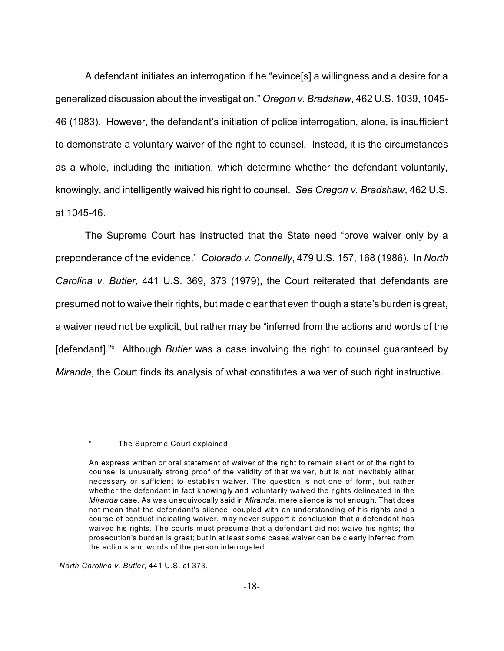A defendant initiates an interrogation if he "evince[s] a willingness and a desire for a generalized discussion about the investigation." *Oregon v. Bradshaw*, 462 U.S. 1039, 1045- 46 (1983). However, the defendant's initiation of police interrogation, alone, is insufficient to demonstrate a voluntary waiver of the right to counsel. Instead, it is the circumstances as a whole, including the initiation, which determine whether the defendant voluntarily, knowingly, and intelligently waived his right to counsel. *See Oregon v. Bradshaw*, 462 U.S. at 1045-46.

The Supreme Court has instructed that the State need "prove waiver only by a preponderance of the evidence." *Colorado v. Connelly*, 479 U.S. 157, 168 (1986). In *North Carolina v. Butler,* 441 U.S. 369, 373 (1979), the Court reiterated that defendants are presumed not to waive their rights, but made clear that even though a state's burden is great, a waiver need not be explicit, but rather may be "inferred from the actions and words of the [defendant].<sup>"6</sup> Although *Butler* was a case involving the right to counsel guaranteed by *Miranda*, the Court finds its analysis of what constitutes a waiver of such right instructive.

*North Carolina v. Butler*, 441 U.S. at 373.

 $6$  The Supreme Court explained:

An express written or oral statement of waiver of the right to remain silent or of the right to counsel is unusually strong proof of the validity of that waiver, but is not inevitably either necessary or sufficient to establish waiver. The question is not one of form, but rather whether the defendant in fact knowingly and voluntarily waived the rights delineated in the *Miranda* case. As was unequivocally said in *Miranda,* mere silence is not enough. That does not mean that the defendant's silence, coupled with an understanding of his rights and a course of conduct indicating waiver, may never support a conclusion that a defendant has waived his rights. The courts must presume that a defendant did not waive his rights; the prosecution's burden is great; but in at least some cases waiver can be clearly inferred from the actions and words of the person interrogated.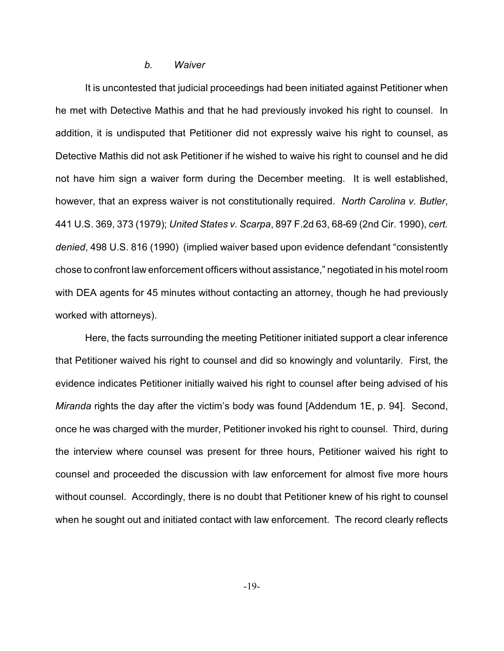#### *b. Waiver*

It is uncontested that judicial proceedings had been initiated against Petitioner when he met with Detective Mathis and that he had previously invoked his right to counsel. In addition, it is undisputed that Petitioner did not expressly waive his right to counsel, as Detective Mathis did not ask Petitioner if he wished to waive his right to counsel and he did not have him sign a waiver form during the December meeting. It is well established, however, that an express waiver is not constitutionally required. *North Carolina v. Butler*, 441 U.S. 369, 373 (1979); *United States v. Scarpa*, 897 F.2d 63, 68-69 (2nd Cir. 1990), *cert. denied*, 498 U.S. 816 (1990) (implied waiver based upon evidence defendant "consistently chose to confront law enforcement officers without assistance," negotiated in his motel room with DEA agents for 45 minutes without contacting an attorney, though he had previously worked with attorneys).

Here, the facts surrounding the meeting Petitioner initiated support a clear inference that Petitioner waived his right to counsel and did so knowingly and voluntarily. First, the evidence indicates Petitioner initially waived his right to counsel after being advised of his *Miranda* rights the day after the victim's body was found [Addendum 1E, p. 94]. Second, once he was charged with the murder, Petitioner invoked his right to counsel. Third, during the interview where counsel was present for three hours, Petitioner waived his right to counsel and proceeded the discussion with law enforcement for almost five more hours without counsel. Accordingly, there is no doubt that Petitioner knew of his right to counsel when he sought out and initiated contact with law enforcement. The record clearly reflects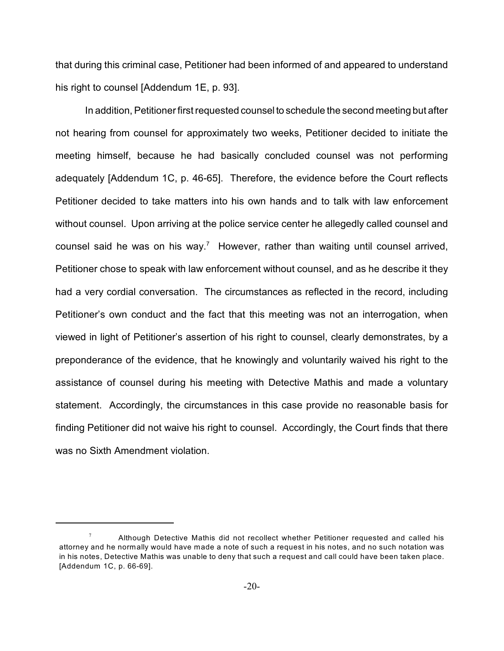that during this criminal case, Petitioner had been informed of and appeared to understand his right to counsel [Addendum 1E, p. 93].

In addition, Petitioner first requested counsel to schedule the second meeting but after not hearing from counsel for approximately two weeks, Petitioner decided to initiate the meeting himself, because he had basically concluded counsel was not performing adequately [Addendum 1C, p. 46-65]. Therefore, the evidence before the Court reflects Petitioner decided to take matters into his own hands and to talk with law enforcement without counsel. Upon arriving at the police service center he allegedly called counsel and counsel said he was on his way.<sup>7</sup> However, rather than waiting until counsel arrived, Petitioner chose to speak with law enforcement without counsel, and as he describe it they had a very cordial conversation. The circumstances as reflected in the record, including Petitioner's own conduct and the fact that this meeting was not an interrogation, when viewed in light of Petitioner's assertion of his right to counsel, clearly demonstrates, by a preponderance of the evidence, that he knowingly and voluntarily waived his right to the assistance of counsel during his meeting with Detective Mathis and made a voluntary statement. Accordingly, the circumstances in this case provide no reasonable basis for finding Petitioner did not waive his right to counsel. Accordingly, the Court finds that there was no Sixth Amendment violation.

Although Detective Mathis did not recollect whether Petitioner requested and called his <sup>7</sup> attorney and he normally would have made a note of such a request in his notes, and no such notation was in his notes, Detective Mathis was unable to deny that such a request and call could have been taken place. [Addendum 1C, p. 66-69].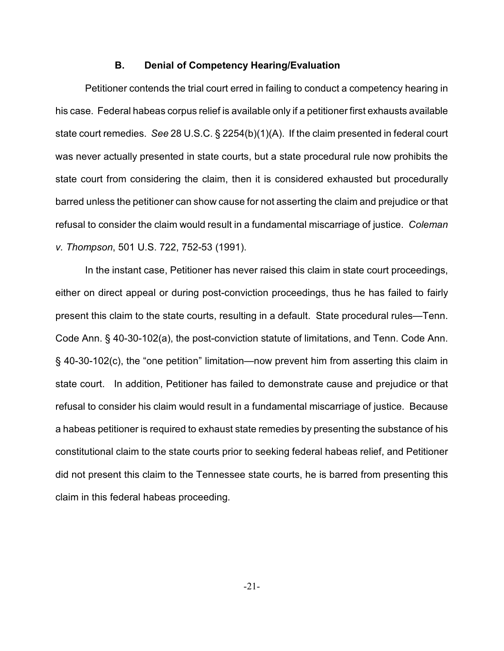## **B. Denial of Competency Hearing/Evaluation**

Petitioner contends the trial court erred in failing to conduct a competency hearing in his case. Federal habeas corpus relief is available only if a petitioner first exhausts available state court remedies. *See* 28 U.S.C. § 2254(b)(1)(A). If the claim presented in federal court was never actually presented in state courts, but a state procedural rule now prohibits the state court from considering the claim, then it is considered exhausted but procedurally barred unless the petitioner can show cause for not asserting the claim and prejudice or that refusal to consider the claim would result in a fundamental miscarriage of justice. *Coleman v. Thompson*, 501 U.S. 722, 752-53 (1991).

In the instant case, Petitioner has never raised this claim in state court proceedings, either on direct appeal or during post-conviction proceedings, thus he has failed to fairly present this claim to the state courts, resulting in a default. State procedural rules—Tenn. Code Ann. § 40-30-102(a), the post-conviction statute of limitations, and Tenn. Code Ann. § 40-30-102(c), the "one petition" limitation—now prevent him from asserting this claim in state court. In addition, Petitioner has failed to demonstrate cause and prejudice or that refusal to consider his claim would result in a fundamental miscarriage of justice. Because a habeas petitioner is required to exhaust state remedies by presenting the substance of his constitutional claim to the state courts prior to seeking federal habeas relief, and Petitioner did not present this claim to the Tennessee state courts, he is barred from presenting this claim in this federal habeas proceeding.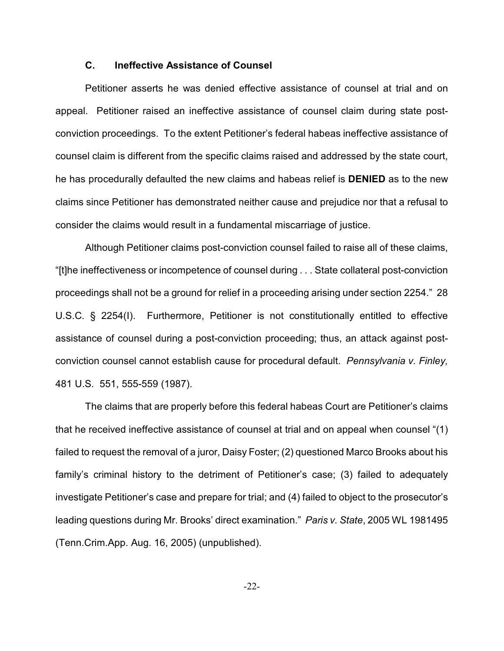## **C. Ineffective Assistance of Counsel**

Petitioner asserts he was denied effective assistance of counsel at trial and on appeal. Petitioner raised an ineffective assistance of counsel claim during state postconviction proceedings. To the extent Petitioner's federal habeas ineffective assistance of counsel claim is different from the specific claims raised and addressed by the state court, he has procedurally defaulted the new claims and habeas relief is **DENIED** as to the new claims since Petitioner has demonstrated neither cause and prejudice nor that a refusal to consider the claims would result in a fundamental miscarriage of justice.

Although Petitioner claims post-conviction counsel failed to raise all of these claims, "[t]he ineffectiveness or incompetence of counsel during . . . State collateral post-conviction proceedings shall not be a ground for relief in a proceeding arising under section 2254." 28 U.S.C. § 2254(I). Furthermore, Petitioner is not constitutionally entitled to effective assistance of counsel during a post-conviction proceeding; thus, an attack against postconviction counsel cannot establish cause for procedural default. *Pennsylvania v. Finley,* 481 U.S. 551, 555-559 (1987).

The claims that are properly before this federal habeas Court are Petitioner's claims that he received ineffective assistance of counsel at trial and on appeal when counsel "(1) failed to request the removal of a juror, Daisy Foster; (2) questioned Marco Brooks about his family's criminal history to the detriment of Petitioner's case; (3) failed to adequately investigate Petitioner's case and prepare for trial; and (4) failed to object to the prosecutor's leading questions during Mr. Brooks' direct examination." *Paris v. State*, 2005 WL 1981495 (Tenn.Crim.App. Aug. 16, 2005) (unpublished).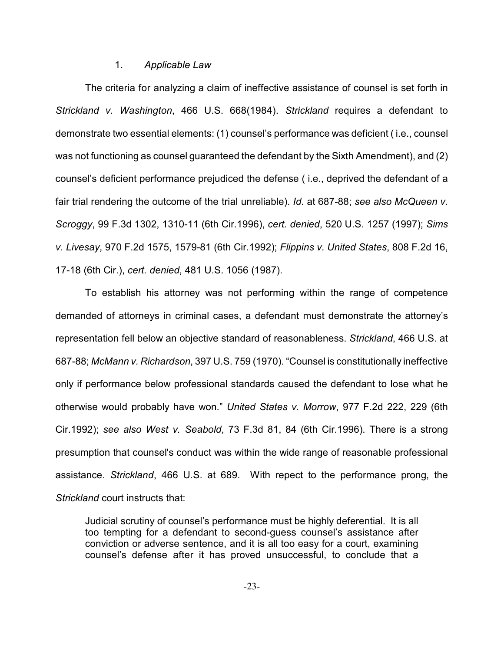## 1. *Applicable Law*

The criteria for analyzing a claim of ineffective assistance of counsel is set forth in *Strickland v. Washington*, 466 U.S. 668(1984). *Strickland* requires a defendant to demonstrate two essential elements: (1) counsel's performance was deficient ( i.e., counsel was not functioning as counsel guaranteed the defendant by the Sixth Amendment), and (2) counsel's deficient performance prejudiced the defense ( i.e., deprived the defendant of a fair trial rendering the outcome of the trial unreliable). *Id*. at 687-88; *see also McQueen v. Scroggy*, 99 F.3d 1302, 1310-11 (6th Cir.1996), *cert. denied*, 520 U.S. 1257 (1997); *Sims v. Livesay*, 970 F.2d 1575, 1579-81 (6th Cir.1992); *Flippins v. United States*, 808 F.2d 16, 17-18 (6th Cir.), *cert. denied*, 481 U.S. 1056 (1987).

To establish his attorney was not performing within the range of competence demanded of attorneys in criminal cases, a defendant must demonstrate the attorney's representation fell below an objective standard of reasonableness. *Strickland*, 466 U.S. at 687-88; *McMann v. Richardson*, 397 U.S. 759 (1970). "Counsel is constitutionally ineffective only if performance below professional standards caused the defendant to lose what he otherwise would probably have won." *United States v. Morrow*, 977 F.2d 222, 229 (6th Cir.1992); *see also West v. Seabold*, 73 F.3d 81, 84 (6th Cir.1996). There is a strong presumption that counsel's conduct was within the wide range of reasonable professional assistance. *Strickland*, 466 U.S. at 689. With repect to the performance prong, the *Strickland* court instructs that:

Judicial scrutiny of counsel's performance must be highly deferential. It is all too tempting for a defendant to second-guess counsel's assistance after conviction or adverse sentence, and it is all too easy for a court, examining counsel's defense after it has proved unsuccessful, to conclude that a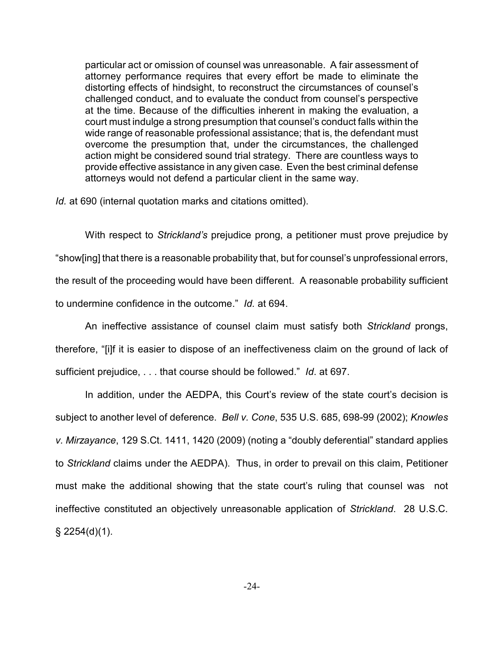particular act or omission of counsel was unreasonable. A fair assessment of attorney performance requires that every effort be made to eliminate the distorting effects of hindsight, to reconstruct the circumstances of counsel's challenged conduct, and to evaluate the conduct from counsel's perspective at the time. Because of the difficulties inherent in making the evaluation, a court must indulge a strong presumption that counsel's conduct falls within the wide range of reasonable professional assistance; that is, the defendant must overcome the presumption that, under the circumstances, the challenged action might be considered sound trial strategy. There are countless ways to provide effective assistance in any given case. Even the best criminal defense attorneys would not defend a particular client in the same way.

*Id.* at 690 (internal quotation marks and citations omitted).

With respect to *Strickland's* prejudice prong, a petitioner must prove prejudice by "show[ing] that there is a reasonable probability that, but for counsel's unprofessional errors, the result of the proceeding would have been different. A reasonable probability sufficient to undermine confidence in the outcome." *Id.* at 694.

An ineffective assistance of counsel claim must satisfy both *Strickland* prongs, therefore, "[i]f it is easier to dispose of an ineffectiveness claim on the ground of lack of sufficient prejudice, . . . that course should be followed." *Id*. at 697.

In addition, under the AEDPA, this Court's review of the state court's decision is subject to another level of deference. *Bell v. Cone*, 535 U.S. 685, 698-99 (2002); *Knowles v. Mirzayance*, 129 S.Ct. 1411, 1420 (2009) (noting a "doubly deferential" standard applies to *Strickland* claims under the AEDPA). Thus, in order to prevail on this claim, Petitioner must make the additional showing that the state court's ruling that counsel was not ineffective constituted an objectively unreasonable application of *Strickland*. 28 U.S.C.  $\S$  2254(d)(1).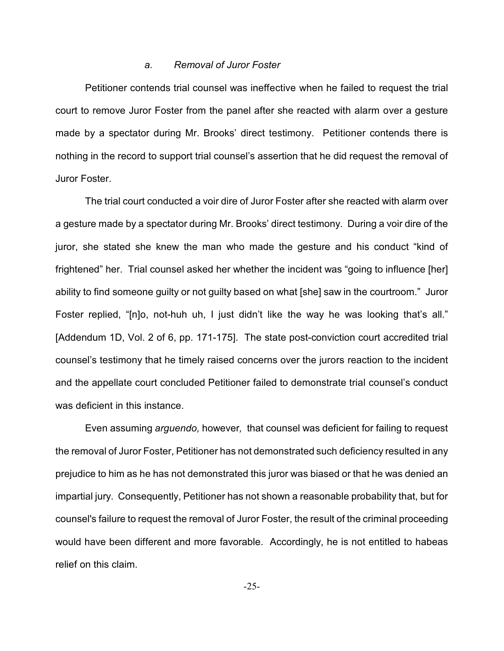#### *a. Removal of Juror Foster*

Petitioner contends trial counsel was ineffective when he failed to request the trial court to remove Juror Foster from the panel after she reacted with alarm over a gesture made by a spectator during Mr. Brooks' direct testimony. Petitioner contends there is nothing in the record to support trial counsel's assertion that he did request the removal of Juror Foster.

The trial court conducted a voir dire of Juror Foster after she reacted with alarm over a gesture made by a spectator during Mr. Brooks' direct testimony. During a voir dire of the juror, she stated she knew the man who made the gesture and his conduct "kind of frightened" her. Trial counsel asked her whether the incident was "going to influence [her] ability to find someone guilty or not guilty based on what [she] saw in the courtroom." Juror Foster replied, "[n]o, not-huh uh, I just didn't like the way he was looking that's all." [Addendum 1D, Vol. 2 of 6, pp. 171-175]. The state post-conviction court accredited trial counsel's testimony that he timely raised concerns over the jurors reaction to the incident and the appellate court concluded Petitioner failed to demonstrate trial counsel's conduct was deficient in this instance.

Even assuming *arguendo,* however*,* that counsel was deficient for failing to request the removal of Juror Foster, Petitioner has not demonstrated such deficiency resulted in any prejudice to him as he has not demonstrated this juror was biased or that he was denied an impartial jury. Consequently, Petitioner has not shown a reasonable probability that, but for counsel's failure to request the removal of Juror Foster, the result of the criminal proceeding would have been different and more favorable. Accordingly, he is not entitled to habeas relief on this claim.

-25-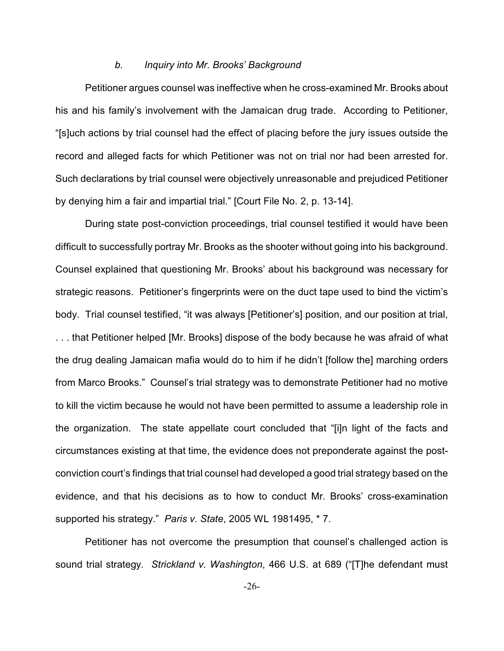#### *b. Inquiry into Mr. Brooks' Background*

Petitioner argues counsel was ineffective when he cross-examined Mr. Brooks about his and his family's involvement with the Jamaican drug trade. According to Petitioner, "[s]uch actions by trial counsel had the effect of placing before the jury issues outside the record and alleged facts for which Petitioner was not on trial nor had been arrested for. Such declarations by trial counsel were objectively unreasonable and prejudiced Petitioner by denying him a fair and impartial trial." [Court File No. 2, p. 13-14].

During state post-conviction proceedings, trial counsel testified it would have been difficult to successfully portray Mr. Brooks as the shooter without going into his background. Counsel explained that questioning Mr. Brooks' about his background was necessary for strategic reasons. Petitioner's fingerprints were on the duct tape used to bind the victim's body. Trial counsel testified, "it was always [Petitioner's] position, and our position at trial, . . . that Petitioner helped [Mr. Brooks] dispose of the body because he was afraid of what the drug dealing Jamaican mafia would do to him if he didn't [follow the] marching orders from Marco Brooks." Counsel's trial strategy was to demonstrate Petitioner had no motive to kill the victim because he would not have been permitted to assume a leadership role in the organization. The state appellate court concluded that "[i]n light of the facts and circumstances existing at that time, the evidence does not preponderate against the postconviction court's findings that trial counsel had developed a good trial strategy based on the evidence, and that his decisions as to how to conduct Mr. Brooks' cross-examination supported his strategy." *Paris v. State*, 2005 WL 1981495, \* 7.

Petitioner has not overcome the presumption that counsel's challenged action is sound trial strategy. *Strickland v. Washington*, 466 U.S. at 689 ("[T]he defendant must

-26-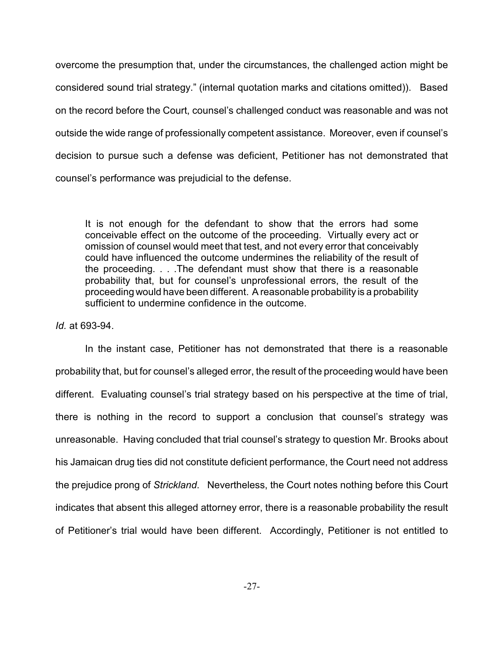overcome the presumption that, under the circumstances, the challenged action might be considered sound trial strategy." (internal quotation marks and citations omitted)). Based on the record before the Court, counsel's challenged conduct was reasonable and was not outside the wide range of professionally competent assistance. Moreover, even if counsel's decision to pursue such a defense was deficient, Petitioner has not demonstrated that counsel's performance was prejudicial to the defense.

It is not enough for the defendant to show that the errors had some conceivable effect on the outcome of the proceeding. Virtually every act or omission of counsel would meet that test, and not every error that conceivably could have influenced the outcome undermines the reliability of the result of the proceeding. . . .The defendant must show that there is a reasonable probability that, but for counsel's unprofessional errors, the result of the proceeding would have been different. A reasonable probability is a probability sufficient to undermine confidence in the outcome.

*Id.* at 693-94.

In the instant case, Petitioner has not demonstrated that there is a reasonable probability that, but for counsel's alleged error, the result of the proceeding would have been different. Evaluating counsel's trial strategy based on his perspective at the time of trial, there is nothing in the record to support a conclusion that counsel's strategy was unreasonable. Having concluded that trial counsel's strategy to question Mr. Brooks about his Jamaican drug ties did not constitute deficient performance, the Court need not address the prejudice prong of *Strickland*. Nevertheless, the Court notes nothing before this Court indicates that absent this alleged attorney error, there is a reasonable probability the result of Petitioner's trial would have been different. Accordingly, Petitioner is not entitled to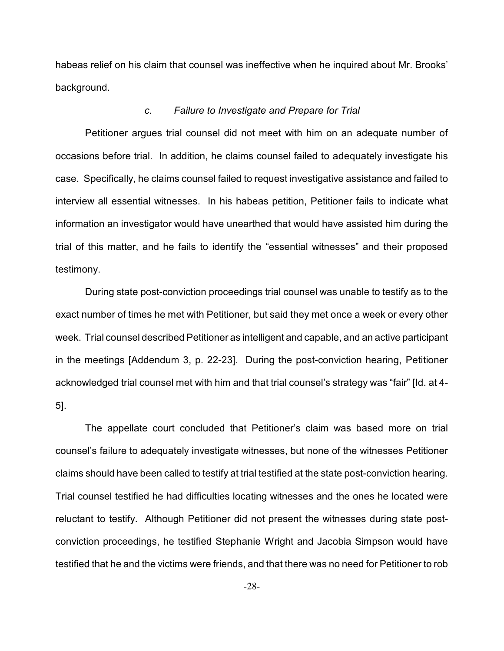habeas relief on his claim that counsel was ineffective when he inquired about Mr. Brooks' background.

#### *c. Failure to Investigate and Prepare for Trial*

Petitioner argues trial counsel did not meet with him on an adequate number of occasions before trial. In addition, he claims counsel failed to adequately investigate his case. Specifically, he claims counsel failed to request investigative assistance and failed to interview all essential witnesses. In his habeas petition, Petitioner fails to indicate what information an investigator would have unearthed that would have assisted him during the trial of this matter, and he fails to identify the "essential witnesses" and their proposed testimony.

During state post-conviction proceedings trial counsel was unable to testify as to the exact number of times he met with Petitioner, but said they met once a week or every other week. Trial counsel described Petitioner as intelligent and capable, and an active participant in the meetings [Addendum 3, p. 22-23]. During the post-conviction hearing, Petitioner acknowledged trial counsel met with him and that trial counsel's strategy was "fair" [Id. at 4- 5].

The appellate court concluded that Petitioner's claim was based more on trial counsel's failure to adequately investigate witnesses, but none of the witnesses Petitioner claims should have been called to testify at trial testified at the state post-conviction hearing. Trial counsel testified he had difficulties locating witnesses and the ones he located were reluctant to testify. Although Petitioner did not present the witnesses during state postconviction proceedings, he testified Stephanie Wright and Jacobia Simpson would have testified that he and the victims were friends, and that there was no need for Petitioner to rob

-28-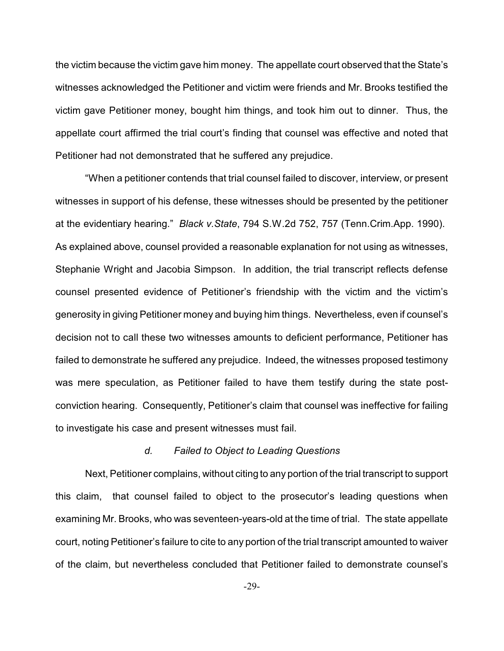the victim because the victim gave him money. The appellate court observed that the State's witnesses acknowledged the Petitioner and victim were friends and Mr. Brooks testified the victim gave Petitioner money, bought him things, and took him out to dinner. Thus, the appellate court affirmed the trial court's finding that counsel was effective and noted that Petitioner had not demonstrated that he suffered any prejudice.

"When a petitioner contends that trial counsel failed to discover, interview, or present witnesses in support of his defense, these witnesses should be presented by the petitioner at the evidentiary hearing." *Black v.State*, 794 S.W.2d 752, 757 (Tenn.Crim.App. 1990). As explained above, counsel provided a reasonable explanation for not using as witnesses, Stephanie Wright and Jacobia Simpson. In addition, the trial transcript reflects defense counsel presented evidence of Petitioner's friendship with the victim and the victim's generosity in giving Petitioner money and buying him things. Nevertheless, even if counsel's decision not to call these two witnesses amounts to deficient performance, Petitioner has failed to demonstrate he suffered any prejudice. Indeed, the witnesses proposed testimony was mere speculation, as Petitioner failed to have them testify during the state postconviction hearing. Consequently, Petitioner's claim that counsel was ineffective for failing to investigate his case and present witnesses must fail.

## *d. Failed to Object to Leading Questions*

Next, Petitioner complains, without citing to any portion of the trial transcript to support this claim, that counsel failed to object to the prosecutor's leading questions when examining Mr. Brooks, who was seventeen-years-old at the time of trial. The state appellate court, noting Petitioner's failure to cite to any portion of the trial transcript amounted to waiver of the claim, but nevertheless concluded that Petitioner failed to demonstrate counsel's

-29-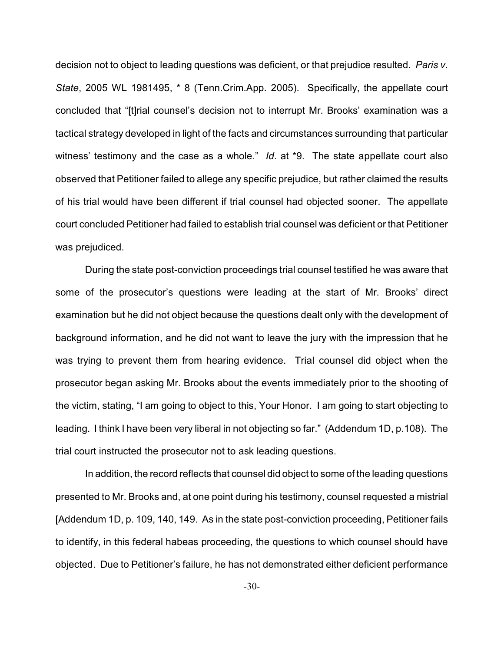decision not to object to leading questions was deficient, or that prejudice resulted. *Paris v. State*, 2005 WL 1981495, \* 8 (Tenn.Crim.App. 2005). Specifically, the appellate court concluded that "[t]rial counsel's decision not to interrupt Mr. Brooks' examination was a tactical strategy developed in light of the facts and circumstances surrounding that particular witness' testimony and the case as a whole." *Id*. at \*9. The state appellate court also observed that Petitioner failed to allege any specific prejudice, but rather claimed the results of his trial would have been different if trial counsel had objected sooner. The appellate court concluded Petitioner had failed to establish trial counsel was deficient or that Petitioner was prejudiced.

During the state post-conviction proceedings trial counsel testified he was aware that some of the prosecutor's questions were leading at the start of Mr. Brooks' direct examination but he did not object because the questions dealt only with the development of background information, and he did not want to leave the jury with the impression that he was trying to prevent them from hearing evidence. Trial counsel did object when the prosecutor began asking Mr. Brooks about the events immediately prior to the shooting of the victim, stating, "I am going to object to this, Your Honor. I am going to start objecting to leading. I think I have been very liberal in not objecting so far." (Addendum 1D, p.108). The trial court instructed the prosecutor not to ask leading questions.

In addition, the record reflects that counsel did object to some of the leading questions presented to Mr. Brooks and, at one point during his testimony, counsel requested a mistrial [Addendum 1D, p. 109, 140, 149. As in the state post-conviction proceeding, Petitioner fails to identify, in this federal habeas proceeding, the questions to which counsel should have objected. Due to Petitioner's failure, he has not demonstrated either deficient performance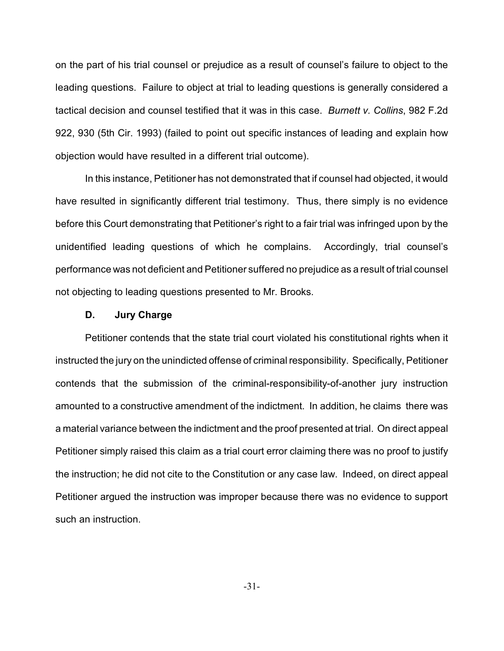on the part of his trial counsel or prejudice as a result of counsel's failure to object to the leading questions. Failure to object at trial to leading questions is generally considered a tactical decision and counsel testified that it was in this case. *Burnett v. Collins*, 982 F.2d 922, 930 (5th Cir. 1993) (failed to point out specific instances of leading and explain how objection would have resulted in a different trial outcome).

In this instance, Petitioner has not demonstrated that if counsel had objected, it would have resulted in significantly different trial testimony. Thus, there simply is no evidence before this Court demonstrating that Petitioner's right to a fair trial was infringed upon by the unidentified leading questions of which he complains. Accordingly, trial counsel's performance was not deficient and Petitioner suffered no prejudice as a result of trial counsel not objecting to leading questions presented to Mr. Brooks.

### **D. Jury Charge**

Petitioner contends that the state trial court violated his constitutional rights when it instructed the jury on the unindicted offense of criminal responsibility. Specifically, Petitioner contends that the submission of the criminal-responsibility-of-another jury instruction amounted to a constructive amendment of the indictment. In addition, he claims there was a material variance between the indictment and the proof presented at trial. On direct appeal Petitioner simply raised this claim as a trial court error claiming there was no proof to justify the instruction; he did not cite to the Constitution or any case law. Indeed, on direct appeal Petitioner argued the instruction was improper because there was no evidence to support such an instruction.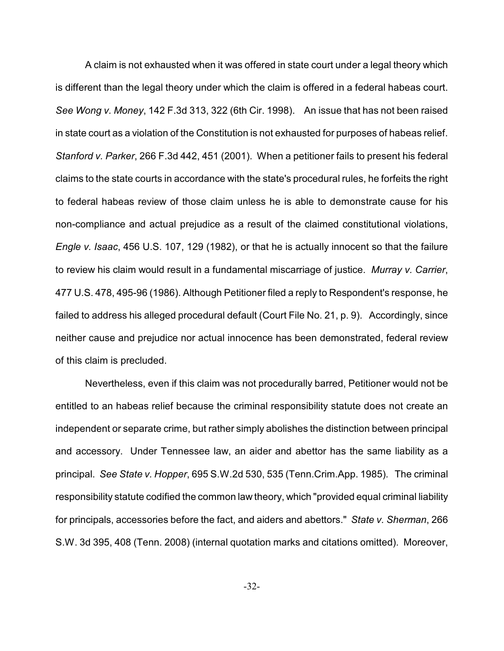A claim is not exhausted when it was offered in state court under a legal theory which is different than the legal theory under which the claim is offered in a federal habeas court. *See Wong v. Money*, 142 F.3d 313, 322 (6th Cir. 1998). An issue that has not been raised in state court as a violation of the Constitution is not exhausted for purposes of habeas relief. *Stanford v. Parker*, 266 F.3d 442, 451 (2001). When a petitioner fails to present his federal claims to the state courts in accordance with the state's procedural rules, he forfeits the right to federal habeas review of those claim unless he is able to demonstrate cause for his non-compliance and actual prejudice as a result of the claimed constitutional violations, *Engle v. Isaac*, 456 U.S. 107, 129 (1982), or that he is actually innocent so that the failure to review his claim would result in a fundamental miscarriage of justice. *Murray v. Carrier*, 477 U.S. 478, 495-96 (1986). Although Petitioner filed a reply to Respondent's response, he failed to address his alleged procedural default (Court File No. 21, p. 9). Accordingly, since neither cause and prejudice nor actual innocence has been demonstrated, federal review of this claim is precluded.

Nevertheless, even if this claim was not procedurally barred, Petitioner would not be entitled to an habeas relief because the criminal responsibility statute does not create an independent or separate crime, but rather simply abolishes the distinction between principal and accessory. Under Tennessee law, an aider and abettor has the same liability as a principal. *See State v. Hopper*, 695 S.W.2d 530, 535 (Tenn.Crim.App. 1985). The criminal responsibility statute codified the common law theory, which "provided equal criminal liability for principals, accessories before the fact, and aiders and abettors." *State v. Sherman*, 266 S.W. 3d 395, 408 (Tenn. 2008) (internal quotation marks and citations omitted). Moreover,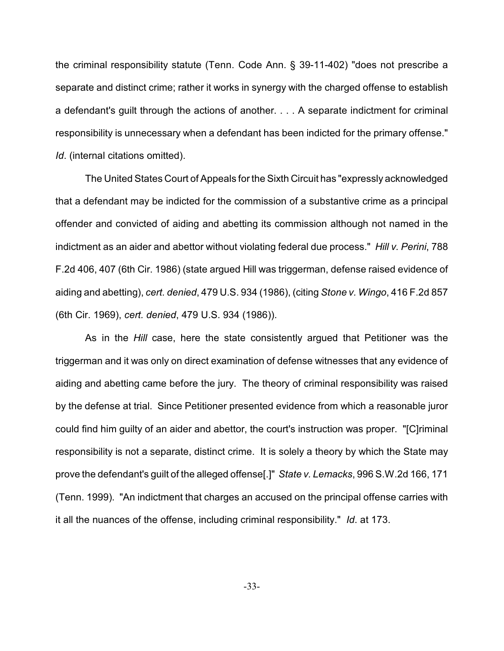the criminal responsibility statute (Tenn. Code Ann. § 39-11-402) "does not prescribe a separate and distinct crime; rather it works in synergy with the charged offense to establish a defendant's guilt through the actions of another. . . . A separate indictment for criminal responsibility is unnecessary when a defendant has been indicted for the primary offense." *Id*. (internal citations omitted).

The United States Court of Appeals for the Sixth Circuit has "expressly acknowledged that a defendant may be indicted for the commission of a substantive crime as a principal offender and convicted of aiding and abetting its commission although not named in the indictment as an aider and abettor without violating federal due process." *Hill v. Perini*, 788 F.2d 406, 407 (6th Cir. 1986) (state argued Hill was triggerman, defense raised evidence of aiding and abetting), *cert. denied*, 479 U.S. 934 (1986), (citing *Stone v. Wingo*, 416 F.2d 857 (6th Cir. 1969), *cert. denied*, 479 U.S. 934 (1986)).

As in the *Hill* case, here the state consistently argued that Petitioner was the triggerman and it was only on direct examination of defense witnesses that any evidence of aiding and abetting came before the jury. The theory of criminal responsibility was raised by the defense at trial. Since Petitioner presented evidence from which a reasonable juror could find him guilty of an aider and abettor, the court's instruction was proper. "[C]riminal responsibility is not a separate, distinct crime. It is solely a theory by which the State may prove the defendant's guilt of the alleged offense[.]" *State v. Lemacks*, 996 S.W.2d 166, 171 (Tenn. 1999). "An indictment that charges an accused on the principal offense carries with it all the nuances of the offense, including criminal responsibility." *Id*. at 173.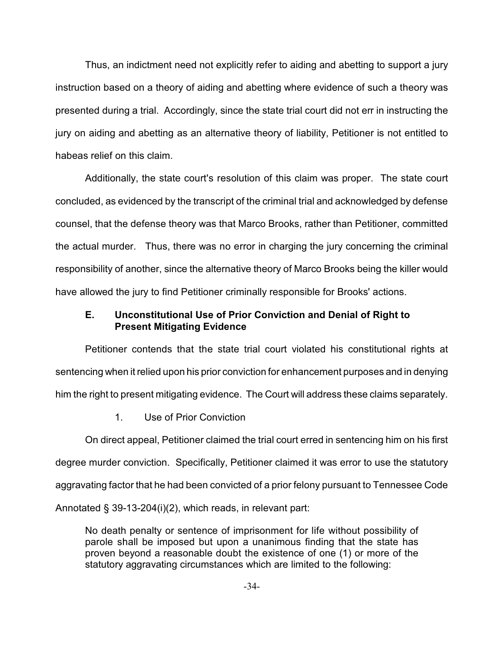Thus, an indictment need not explicitly refer to aiding and abetting to support a jury instruction based on a theory of aiding and abetting where evidence of such a theory was presented during a trial. Accordingly, since the state trial court did not err in instructing the jury on aiding and abetting as an alternative theory of liability, Petitioner is not entitled to habeas relief on this claim.

Additionally, the state court's resolution of this claim was proper. The state court concluded, as evidenced by the transcript of the criminal trial and acknowledged by defense counsel, that the defense theory was that Marco Brooks, rather than Petitioner, committed the actual murder. Thus, there was no error in charging the jury concerning the criminal responsibility of another, since the alternative theory of Marco Brooks being the killer would have allowed the jury to find Petitioner criminally responsible for Brooks' actions.

# **E. Unconstitutional Use of Prior Conviction and Denial of Right to Present Mitigating Evidence**

Petitioner contends that the state trial court violated his constitutional rights at sentencing when it relied upon his prior conviction for enhancement purposes and in denying him the right to present mitigating evidence. The Court will address these claims separately.

1. Use of Prior Conviction

On direct appeal, Petitioner claimed the trial court erred in sentencing him on his first degree murder conviction. Specifically, Petitioner claimed it was error to use the statutory aggravating factor that he had been convicted of a prior felony pursuant to Tennessee Code Annotated § 39-13-204(i)(2), which reads, in relevant part:

No death penalty or sentence of imprisonment for life without possibility of parole shall be imposed but upon a unanimous finding that the state has proven beyond a reasonable doubt the existence of one (1) or more of the statutory aggravating circumstances which are limited to the following: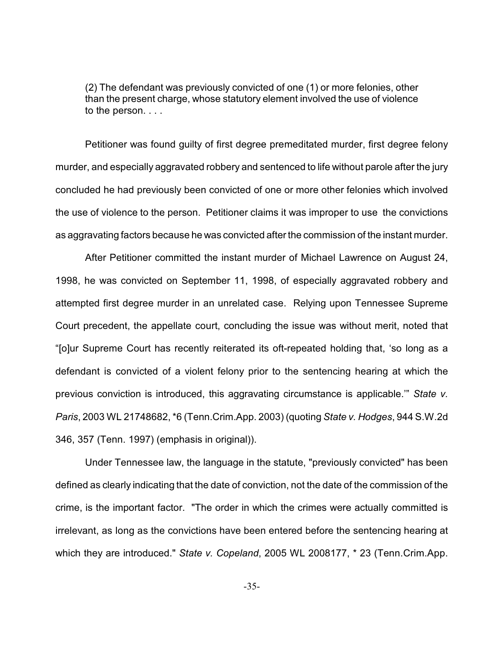(2) The defendant was previously convicted of one (1) or more felonies, other than the present charge, whose statutory element involved the use of violence to the person. . . .

Petitioner was found guilty of first degree premeditated murder, first degree felony murder, and especially aggravated robbery and sentenced to life without parole after the jury concluded he had previously been convicted of one or more other felonies which involved the use of violence to the person. Petitioner claims it was improper to use the convictions as aggravating factors because he was convicted after the commission of the instant murder.

After Petitioner committed the instant murder of Michael Lawrence on August 24, 1998, he was convicted on September 11, 1998, of especially aggravated robbery and attempted first degree murder in an unrelated case. Relying upon Tennessee Supreme Court precedent, the appellate court, concluding the issue was without merit, noted that "[o]ur Supreme Court has recently reiterated its oft-repeated holding that, 'so long as a defendant is convicted of a violent felony prior to the sentencing hearing at which the previous conviction is introduced, this aggravating circumstance is applicable.'" *State v. Paris*, 2003 WL 21748682, \*6 (Tenn.Crim.App. 2003) (quoting *State v. Hodges*, 944 S.W.2d 346, 357 (Tenn. 1997) (emphasis in original)).

Under Tennessee law, the language in the statute, "previously convicted" has been defined as clearly indicating that the date of conviction, not the date of the commission of the crime, is the important factor. "The order in which the crimes were actually committed is irrelevant, as long as the convictions have been entered before the sentencing hearing at which they are introduced." *State v. Copeland*, 2005 WL 2008177, \* 23 (Tenn.Crim.App.

-35-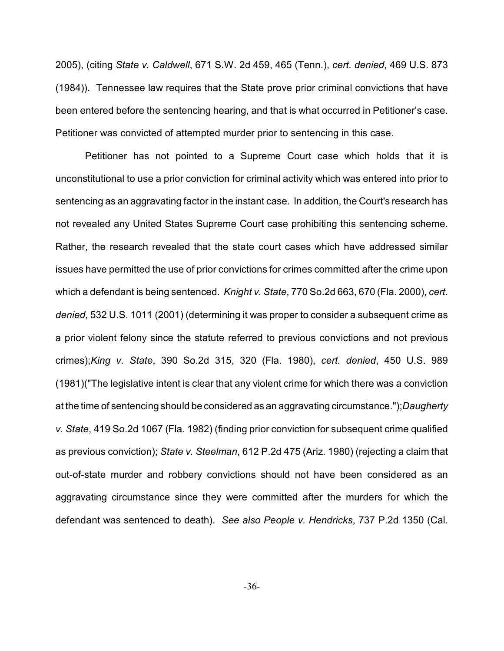2005), (citing *State v. Caldwell*, 671 S.W. 2d 459, 465 (Tenn.), *cert. denied*, 469 U.S. 873 (1984)). Tennessee law requires that the State prove prior criminal convictions that have been entered before the sentencing hearing, and that is what occurred in Petitioner's case. Petitioner was convicted of attempted murder prior to sentencing in this case.

Petitioner has not pointed to a Supreme Court case which holds that it is unconstitutional to use a prior conviction for criminal activity which was entered into prior to sentencing as an aggravating factor in the instant case. In addition, the Court's research has not revealed any United States Supreme Court case prohibiting this sentencing scheme. Rather, the research revealed that the state court cases which have addressed similar issues have permitted the use of prior convictions for crimes committed after the crime upon which a defendant is being sentenced. *Knight v. State*, 770 So.2d 663, 670 (Fla. 2000), *cert. denied*, 532 U.S. 1011 (2001) (determining it was proper to consider a subsequent crime as a prior violent felony since the statute referred to previous convictions and not previous crimes);*King v. State*, 390 So.2d 315, 320 (Fla. 1980), *cert. denied*, 450 U.S. 989 (1981)("The legislative intent is clear that any violent crime for which there was a conviction at the time of sentencing should be considered as an aggravating circumstance.");*Daugherty v. State*, 419 So.2d 1067 (Fla. 1982) (finding prior conviction for subsequent crime qualified as previous conviction); *State v. Steelman*, 612 P.2d 475 (Ariz. 1980) (rejecting a claim that out-of-state murder and robbery convictions should not have been considered as an aggravating circumstance since they were committed after the murders for which the defendant was sentenced to death). *See also People v. Hendricks*, 737 P.2d 1350 (Cal.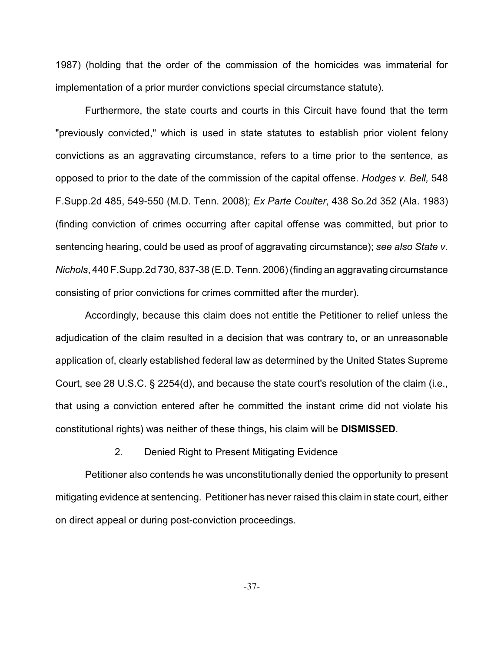1987) (holding that the order of the commission of the homicides was immaterial for implementation of a prior murder convictions special circumstance statute).

Furthermore, the state courts and courts in this Circuit have found that the term "previously convicted," which is used in state statutes to establish prior violent felony convictions as an aggravating circumstance, refers to a time prior to the sentence, as opposed to prior to the date of the commission of the capital offense. *Hodges v. Bell,* 548 F.Supp.2d 485, 549-550 (M.D. Tenn. 2008); *Ex Parte Coulter*, 438 So.2d 352 (Ala. 1983) (finding conviction of crimes occurring after capital offense was committed, but prior to sentencing hearing, could be used as proof of aggravating circumstance); *see also State v. Nichols*, 440 F.Supp.2d 730, 837-38 (E.D. Tenn. 2006) (finding an aggravating circumstance consisting of prior convictions for crimes committed after the murder).

Accordingly, because this claim does not entitle the Petitioner to relief unless the adjudication of the claim resulted in a decision that was contrary to, or an unreasonable application of, clearly established federal law as determined by the United States Supreme Court, see 28 U.S.C. § 2254(d), and because the state court's resolution of the claim (i.e., that using a conviction entered after he committed the instant crime did not violate his constitutional rights) was neither of these things, his claim will be **DISMISSED**.

2. Denied Right to Present Mitigating Evidence

Petitioner also contends he was unconstitutionally denied the opportunity to present mitigating evidence at sentencing. Petitioner has never raised this claim in state court, either on direct appeal or during post-conviction proceedings.

-37-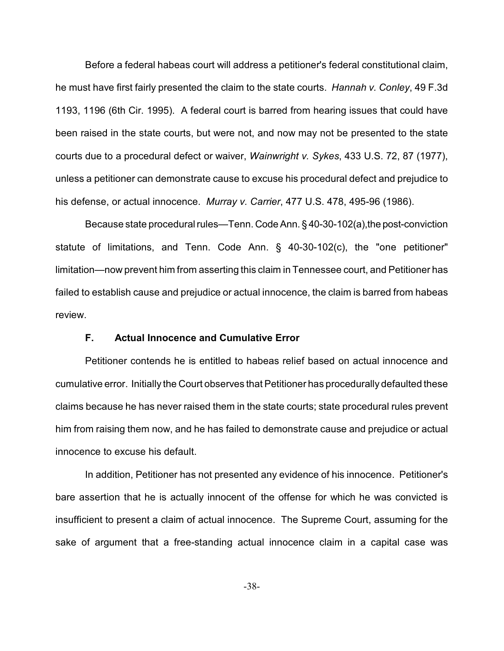Before a federal habeas court will address a petitioner's federal constitutional claim, he must have first fairly presented the claim to the state courts. *Hannah v. Conley*, 49 F.3d 1193, 1196 (6th Cir. 1995). A federal court is barred from hearing issues that could have been raised in the state courts, but were not, and now may not be presented to the state courts due to a procedural defect or waiver, *Wainwright v. Sykes*, 433 U.S. 72, 87 (1977), unless a petitioner can demonstrate cause to excuse his procedural defect and prejudice to his defense, or actual innocence. *Murray v. Carrier*, 477 U.S. 478, 495-96 (1986).

Because state procedural rules—Tenn. Code Ann. § 40-30-102(a),the post-conviction statute of limitations, and Tenn. Code Ann. § 40-30-102(c), the "one petitioner" limitation—now prevent him from asserting this claim in Tennessee court, and Petitioner has failed to establish cause and prejudice or actual innocence, the claim is barred from habeas review.

## **F. Actual Innocence and Cumulative Error**

Petitioner contends he is entitled to habeas relief based on actual innocence and cumulative error. Initially the Court observes that Petitioner has procedurally defaulted these claims because he has never raised them in the state courts; state procedural rules prevent him from raising them now, and he has failed to demonstrate cause and prejudice or actual innocence to excuse his default.

In addition, Petitioner has not presented any evidence of his innocence. Petitioner's bare assertion that he is actually innocent of the offense for which he was convicted is insufficient to present a claim of actual innocence. The Supreme Court, assuming for the sake of argument that a free-standing actual innocence claim in a capital case was

-38-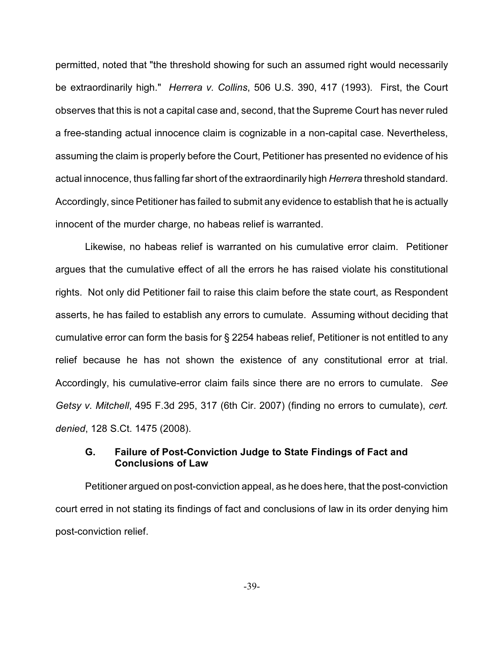permitted, noted that "the threshold showing for such an assumed right would necessarily be extraordinarily high." *Herrera v. Collins*, 506 U.S. 390, 417 (1993). First, the Court observes that this is not a capital case and, second, that the Supreme Court has never ruled a free-standing actual innocence claim is cognizable in a non-capital case. Nevertheless, assuming the claim is properly before the Court, Petitioner has presented no evidence of his actual innocence, thus falling far short of the extraordinarily high *Herrera* threshold standard. Accordingly, since Petitioner has failed to submit any evidence to establish that he is actually innocent of the murder charge, no habeas relief is warranted.

Likewise, no habeas relief is warranted on his cumulative error claim. Petitioner argues that the cumulative effect of all the errors he has raised violate his constitutional rights. Not only did Petitioner fail to raise this claim before the state court, as Respondent asserts, he has failed to establish any errors to cumulate. Assuming without deciding that cumulative error can form the basis for § 2254 habeas relief, Petitioner is not entitled to any relief because he has not shown the existence of any constitutional error at trial. Accordingly, his cumulative-error claim fails since there are no errors to cumulate. *See Getsy v. Mitchell*, 495 F.3d 295, 317 (6th Cir. 2007) (finding no errors to cumulate), *cert. denied*, 128 S.Ct. 1475 (2008).

# **G. Failure of Post-Conviction Judge to State Findings of Fact and Conclusions of Law**

Petitioner argued on post-conviction appeal, as he does here, that the post-conviction court erred in not stating its findings of fact and conclusions of law in its order denying him post-conviction relief.

-39-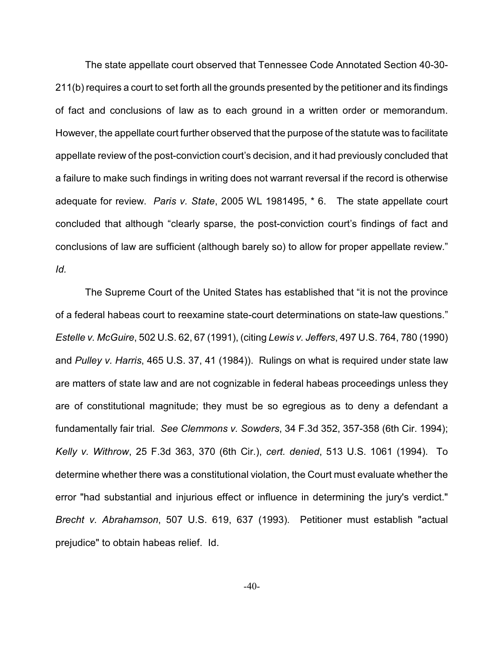The state appellate court observed that Tennessee Code Annotated Section 40-30- 211(b) requires a court to set forth all the grounds presented by the petitioner and its findings of fact and conclusions of law as to each ground in a written order or memorandum. However, the appellate court further observed that the purpose of the statute was to facilitate appellate review of the post-conviction court's decision, and it had previously concluded that a failure to make such findings in writing does not warrant reversal if the record is otherwise adequate for review. *Paris v. State*, 2005 WL 1981495, \* 6. The state appellate court concluded that although "clearly sparse, the post-conviction court's findings of fact and conclusions of law are sufficient (although barely so) to allow for proper appellate review." *Id.* 

The Supreme Court of the United States has established that "it is not the province of a federal habeas court to reexamine state-court determinations on state-law questions." *Estelle v. McGuire*, 502 U.S. 62, 67 (1991), (citing *Lewis v. Jeffers*, 497 U.S. 764, 780 (1990) and *Pulley v. Harris*, 465 U.S. 37, 41 (1984)). Rulings on what is required under state law are matters of state law and are not cognizable in federal habeas proceedings unless they are of constitutional magnitude; they must be so egregious as to deny a defendant a fundamentally fair trial. *See Clemmons v. Sowders*, 34 F.3d 352, 357-358 (6th Cir. 1994); *Kelly v. Withrow*, 25 F.3d 363, 370 (6th Cir.), *cert. denied*, 513 U.S. 1061 (1994). To determine whether there was a constitutional violation, the Court must evaluate whether the error "had substantial and injurious effect or influence in determining the jury's verdict." *Brecht v. Abrahamson*, 507 U.S. 619, 637 (1993). Petitioner must establish "actual prejudice" to obtain habeas relief. Id.

 $-40-$